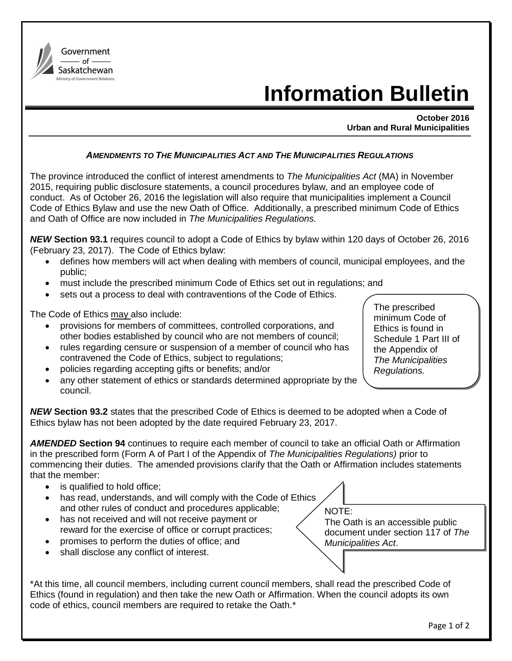

## **Information Bulletin**

**October 2016 Urban and Rural Municipalities**

## *AMENDMENTS TO THE MUNICIPALITIES ACT AND THE MUNICIPALITIES REGULATIONS*

The province introduced the conflict of interest amendments to *The Municipalities Act* (MA) in November 2015, requiring public disclosure statements, a council procedures bylaw, and an employee code of conduct. As of October 26, 2016 the legislation will also require that municipalities implement a Council Code of Ethics Bylaw and use the new Oath of Office. Additionally, a prescribed minimum Code of Ethics and Oath of Office are now included in *The Municipalities Regulations.* 

*NEW* **Section 93.1** requires council to adopt a Code of Ethics by bylaw within 120 days of October 26, 2016 (February 23, 2017). The Code of Ethics bylaw:

- defines how members will act when dealing with members of council, municipal employees, and the public;
- must include the prescribed minimum Code of Ethics set out in regulations; and
- sets out a process to deal with contraventions of the Code of Ethics.

The Code of Ethics may also include:

- provisions for members of committees, controlled corporations, and other bodies established by council who are not members of council;
- rules regarding censure or suspension of a member of council who has contravened the Code of Ethics, subject to regulations;
- policies regarding accepting gifts or benefits; and/or
- any other statement of ethics or standards determined appropriate by the council.

*NEW* **Section 93.2** states that the prescribed Code of Ethics is deemed to be adopted when a Code of Ethics bylaw has not been adopted by the date required February 23, 2017.

*AMENDED* **Section 94** continues to require each member of council to take an official Oath or Affirmation in the prescribed form (Form A of Part I of the Appendix of *The Municipalities Regulations)* prior to commencing their duties. The amended provisions clarify that the Oath or Affirmation includes statements that the member:

- is qualified to hold office;
- has read, understands, and will comply with the Code of Ethics and other rules of conduct and procedures applicable;
- has not received and will not receive payment or reward for the exercise of office or corrupt practices;
- promises to perform the duties of office; and
- shall disclose any conflict of interest.

\*At this time, all council members, including current council members, shall read the prescribed Code of Ethics (found in regulation) and then take the new Oath or Affirmation. When the council adopts its own code of ethics, council members are required to retake the Oath.\*

NOTE: The Oath is an accessible public document under section 117 of *The Municipalities Act*.

 $\overline{\phantom{0}}$ 

The prescribed minimum Code of Ethics is found in Schedule 1 Part III of the Appendix of *The Municipalities Regulations.*